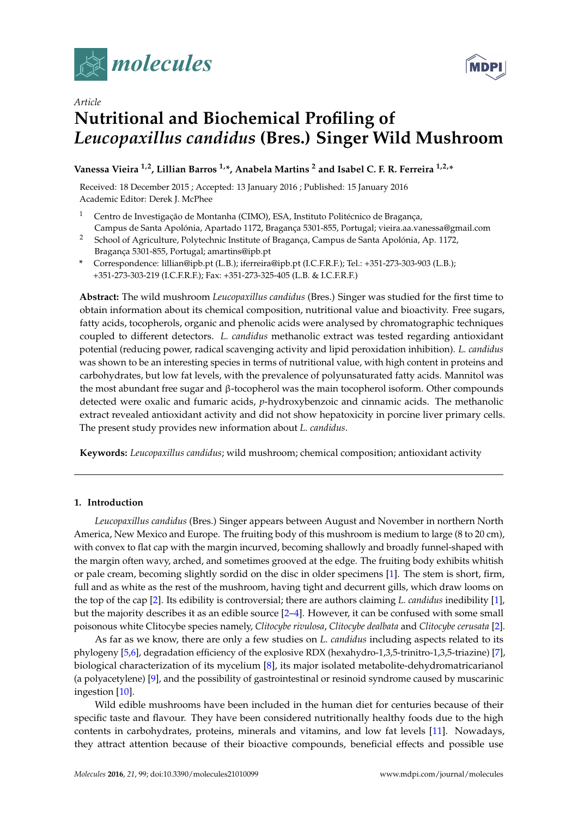



# *Article* **Nutritional and Biochemical Profiling of** *Leucopaxillus candidus* **(Bres.) Singer Wild Mushroom**

## **Vanessa Vieira 1,2, Lillian Barros 1,\*, Anabela Martins <sup>2</sup> and Isabel C. F. R. Ferreira 1,2,\***

Received: 18 December 2015 ; Accepted: 13 January 2016 ; Published: 15 January 2016 Academic Editor: Derek J. McPhee

- <sup>1</sup> Centro de Investigação de Montanha (CIMO), ESA, Instituto Politécnico de Bragança, Campus de Santa Apolónia, Apartado 1172, Bragança 5301-855, Portugal; vieira.aa.vanessa@gmail.com
- <sup>2</sup> School of Agriculture, Polytechnic Institute of Bragança, Campus de Santa Apolónia, Ap. 1172, Bragança 5301-855, Portugal; amartins@ipb.pt
- **\*** Correspondence: lillian@ipb.pt (L.B.); iferreira@ipb.pt (I.C.F.R.F.); Tel.: +351-273-303-903 (L.B.); +351-273-303-219 (I.C.F.R.F.); Fax: +351-273-325-405 (L.B. & I.C.F.R.F.)

**Abstract:** The wild mushroom *Leucopaxillus candidus* (Bres.) Singer was studied for the first time to obtain information about its chemical composition, nutritional value and bioactivity. Free sugars, fatty acids, tocopherols, organic and phenolic acids were analysed by chromatographic techniques coupled to different detectors. *L. candidus* methanolic extract was tested regarding antioxidant potential (reducing power, radical scavenging activity and lipid peroxidation inhibition). *L. candidus* was shown to be an interesting species in terms of nutritional value, with high content in proteins and carbohydrates, but low fat levels, with the prevalence of polyunsaturated fatty acids. Mannitol was the most abundant free sugar and β-tocopherol was the main tocopherol isoform. Other compounds detected were oxalic and fumaric acids, *p*-hydroxybenzoic and cinnamic acids. The methanolic extract revealed antioxidant activity and did not show hepatoxicity in porcine liver primary cells. The present study provides new information about *L. candidus*.

**Keywords:** *Leucopaxillus candidus*; wild mushroom; chemical composition; antioxidant activity

#### **1. Introduction**

*Leucopaxillus candidus* (Bres.) Singer appears between August and November in northern North America, New Mexico and Europe. The fruiting body of this mushroom is medium to large (8 to 20 cm), with convex to flat cap with the margin incurved, becoming shallowly and broadly funnel-shaped with the margin often wavy, arched, and sometimes grooved at the edge. The fruiting body exhibits whitish or pale cream, becoming slightly sordid on the disc in older specimens [\[1\]](#page-7-0). The stem is short, firm, full and as white as the rest of the mushroom, having tight and decurrent gills, which draw looms on the top of the cap [\[2\]](#page-7-1). Its edibility is controversial; there are authors claiming *L. candidus* inedibility [\[1\]](#page-7-0), but the majority describes it as an edible source [\[2](#page-7-1)[–4\]](#page-7-2). However, it can be confused with some small poisonous white Clitocybe species namely, *Clitocybe rivulosa*, *Clitocybe dealbata* and *Clitocybe cerusata* [\[2\]](#page-7-1).

As far as we know, there are only a few studies on *L. candidus* including aspects related to its phylogeny [\[5,](#page-7-3)[6\]](#page-7-4), degradation efficiency of the explosive RDX (hexahydro-1,3,5-trinitro-1,3,5-triazine) [\[7\]](#page-7-5), biological characterization of its mycelium [\[8\]](#page-7-6), its major isolated metabolite-dehydromatricarianol (a polyacetylene) [\[9\]](#page-7-7), and the possibility of gastrointestinal or resinoid syndrome caused by muscarinic ingestion [\[10\]](#page-7-8).

Wild edible mushrooms have been included in the human diet for centuries because of their specific taste and flavour. They have been considered nutritionally healthy foods due to the high contents in carbohydrates, proteins, minerals and vitamins, and low fat levels [\[11\]](#page-7-9). Nowadays, they attract attention because of their bioactive compounds, beneficial effects and possible use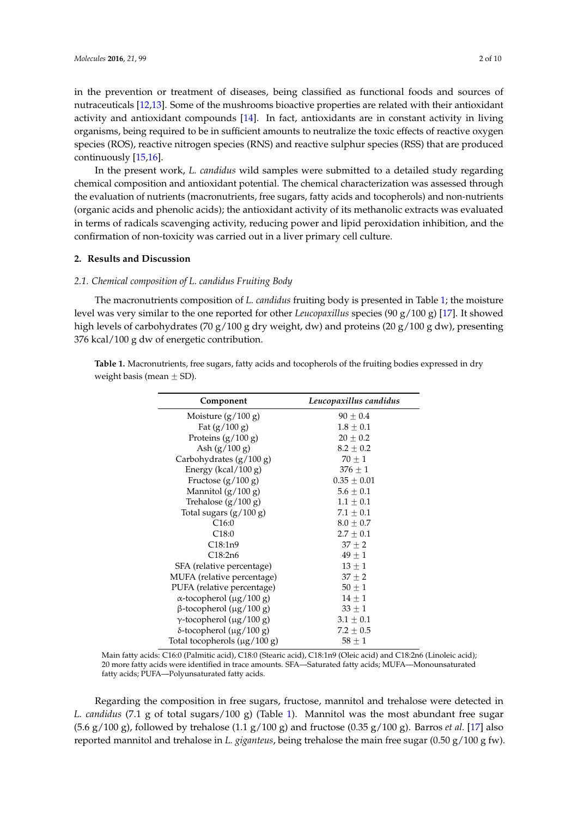in the prevention or treatment of diseases, being classified as functional foods and sources of nutraceuticals [\[12](#page-8-0)[,13\]](#page-8-1). Some of the mushrooms bioactive properties are related with their antioxidant activity and antioxidant compounds [\[14\]](#page-8-2). In fact, antioxidants are in constant activity in living organisms, being required to be in sufficient amounts to neutralize the toxic effects of reactive oxygen species (ROS), reactive nitrogen species (RNS) and reactive sulphur species (RSS) that are produced continuously [\[15,](#page-8-3)[16\]](#page-8-4).

In the present work, *L. candidus* wild samples were submitted to a detailed study regarding chemical composition and antioxidant potential. The chemical characterization was assessed through the evaluation of nutrients (macronutrients, free sugars, fatty acids and tocopherols) and non-nutrients (organic acids and phenolic acids); the antioxidant activity of its methanolic extracts was evaluated in terms of radicals scavenging activity, reducing power and lipid peroxidation inhibition, and the confirmation of non-toxicity was carried out in a liver primary cell culture.

#### **2. Results and Discussion**

## *2.1. Chemical composition of L. candidus Fruiting Body*

The macronutrients composition of *L. candidus* fruiting body is presented in Table [1;](#page-1-0) the moisture level was very similar to the one reported for other *Leucopaxillus* species (90 g/100 g) [\[17\]](#page-8-5). It showed high levels of carbohydrates (70 g/100 g dry weight, dw) and proteins (20 g/100 g dw), presenting 376 kcal/100 g dw of energetic contribution.

<span id="page-1-0"></span>**Table 1.** Macronutrients, free sugars, fatty acids and tocopherols of the fruiting bodies expressed in dry weight basis (mean  $\pm$  SD).

| Component                         | Leucopaxillus candidus |  |
|-----------------------------------|------------------------|--|
| Moisture $(g/100 g)$              | $90 \pm 0.4$           |  |
| Fat $(g/100 g)$                   | $1.8 \pm 0.1$          |  |
| Proteins $(g/100 g)$              | $20\pm0.2$             |  |
| Ash $(g/100 g)$                   | $8.2 + 0.2$            |  |
| Carbohydrates (g/100 g)           | $70 \pm 1$             |  |
| Energy (kcal/100 g)               | $376 \pm 1$            |  |
| Fructose $(g/100 g)$              | $0.35 \pm 0.01$        |  |
| Mannitol $(g/100 g)$              | $5.6 \pm 0.1$          |  |
| Trehalose $(g/100 g)$             | $1.1 \pm 0.1$          |  |
| Total sugars $(g/100 g)$          | $7.1 \pm 0.1$          |  |
| C16:0                             | $8.0 \pm 0.7$          |  |
| C <sub>18:0</sub>                 | $2.7 \pm 0.1$          |  |
| C18:1n9                           | $37 + 2$               |  |
| C18:2n6                           | $49 \pm 1$             |  |
| SFA (relative percentage)         | $13 + 1$               |  |
| MUFA (relative percentage)        | $37 \pm 2$             |  |
| PUFA (relative percentage)        | $50 \pm 1$             |  |
| $\alpha$ -tocopherol (µg/100 g)   | $14 + 1$               |  |
| $β$ -tocopherol (μg/100 g)        | $33 \pm 1$             |  |
| $\gamma$ -tocopherol (µg/100 g)   | $3.1 \pm 0.1$          |  |
| $\delta$ -tocopherol (µg/100 g)   | $7.2 \pm 0.5$          |  |
| Total tocopherols $(\mu g/100 g)$ | $58\pm1$               |  |

Main fatty acids: C16:0 (Palmitic acid), C18:0 (Stearic acid), C18:1n9 (Oleic acid) and C18:2n6 (Linoleic acid); 20 more fatty acids were identified in trace amounts. SFA—Saturated fatty acids; MUFA—Monounsaturated fatty acids; PUFA—Polyunsaturated fatty acids.

Regarding the composition in free sugars, fructose, mannitol and trehalose were detected in *L. candidus* (7.1 g of total sugars/100 g) (Table [1\)](#page-1-0). Mannitol was the most abundant free sugar (5.6 g/100 g), followed by trehalose (1.1 g/100 g) and fructose (0.35 g/100 g). Barros *et al.* [\[17\]](#page-8-5) also reported mannitol and trehalose in *L. giganteus*, being trehalose the main free sugar (0.50 g/100 g fw).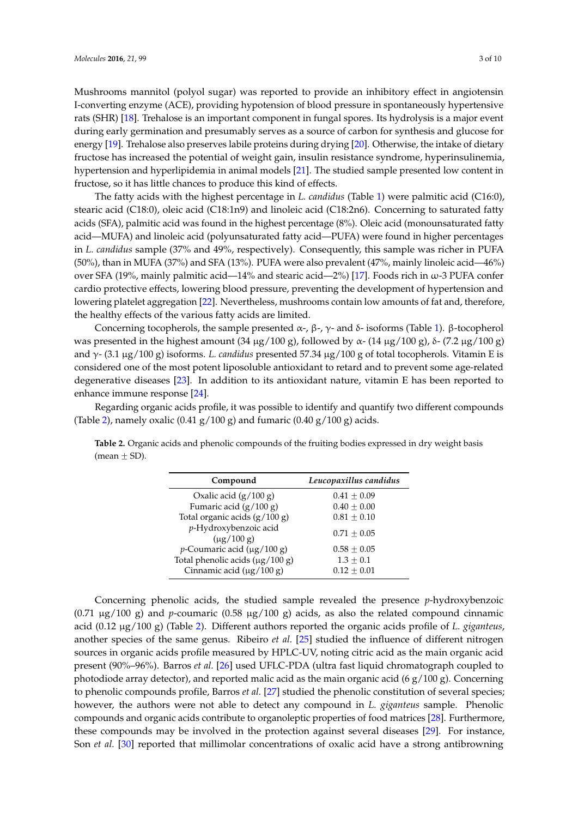Mushrooms mannitol (polyol sugar) was reported to provide an inhibitory effect in angiotensin I-converting enzyme (ACE), providing hypotension of blood pressure in spontaneously hypertensive rats (SHR) [\[18\]](#page-8-6). Trehalose is an important component in fungal spores. Its hydrolysis is a major event during early germination and presumably serves as a source of carbon for synthesis and glucose for energy [\[19\]](#page-8-7). Trehalose also preserves labile proteins during drying [\[20\]](#page-8-8). Otherwise, the intake of dietary fructose has increased the potential of weight gain, insulin resistance syndrome, hyperinsulinemia, hypertension and hyperlipidemia in animal models [\[21\]](#page-8-9). The studied sample presented low content in fructose, so it has little chances to produce this kind of effects.

The fatty acids with the highest percentage in *L. candidus* (Table [1\)](#page-1-0) were palmitic acid (C16:0), stearic acid (C18:0), oleic acid (C18:1n9) and linoleic acid (C18:2n6). Concerning to saturated fatty acids (SFA), palmitic acid was found in the highest percentage (8%). Oleic acid (monounsaturated fatty acid—MUFA) and linoleic acid (polyunsaturated fatty acid—PUFA) were found in higher percentages in *L. candidus* sample (37% and 49%, respectively). Consequently, this sample was richer in PUFA (50%), than in MUFA (37%) and SFA (13%). PUFA were also prevalent (47%, mainly linoleic acid—46%) over SFA (19%, mainly palmitic acid—14% and stearic acid—2%) [\[17\]](#page-8-5). Foods rich in ω-3 PUFA confer cardio protective effects, lowering blood pressure, preventing the development of hypertension and lowering platelet aggregation [\[22\]](#page-8-10). Nevertheless, mushrooms contain low amounts of fat and, therefore, the healthy effects of the various fatty acids are limited.

Concerning tocopherols, the sample presented  $\alpha$ -,  $\beta$ -,  $\gamma$ - and δ- isoforms (Table [1\)](#page-1-0). β-tocopherol was presented in the highest amount  $(34 \mu g/100 g)$ , followed by α-  $(14 \mu g/100 g)$ , δ-  $(7.2 \mu g/100 g)$ and γ- (3.1 µg/100 g) isoforms. *L. candidus* presented 57.34 µg/100 g of total tocopherols. Vitamin E is considered one of the most potent liposoluble antioxidant to retard and to prevent some age-related degenerative diseases [\[23\]](#page-8-11). In addition to its antioxidant nature, vitamin E has been reported to enhance immune response [\[24\]](#page-8-12).

Regarding organic acids profile, it was possible to identify and quantify two different compounds (Table [2\)](#page-2-0), namely oxalic (0.41 g/100 g) and fumaric (0.40 g/100 g) acids.

<span id="page-2-0"></span>**Table 2.** Organic acids and phenolic compounds of the fruiting bodies expressed in dry weight basis (mean  $\pm$  SD).

| Compound                                 | Leucopaxillus candidus |
|------------------------------------------|------------------------|
| Oxalic acid $(g/100 g)$                  | $0.41 + 0.09$          |
| Fumaric acid (g/100 g)                   | $0.40 + 0.00$          |
| Total organic acids $(g/100 g)$          | $0.81 + 0.10$          |
| p-Hydroxybenzoic acid<br>$(\mu$ g/100 g) | $0.71 + 0.05$          |
| $p$ -Coumaric acid (µg/100 g)            | $0.58 + 0.05$          |
| Total phenolic acids $(\mu g/100 g)$     | $1.3 + 0.1$            |
| Cinnamic acid $(\mu g/100 g)$            | $0.12 \pm 0.01$        |

Concerning phenolic acids, the studied sample revealed the presence *p*-hydroxybenzoic  $(0.71 \mu g/100 \text{ g})$  and *p*-coumaric  $(0.58 \mu g/100 \text{ g})$  acids, as also the related compound cinnamic acid (0.12 µg/100 g) (Table [2\)](#page-2-0). Different authors reported the organic acids profile of *L. giganteus*, another species of the same genus. Ribeiro *et al.* [\[25\]](#page-8-13) studied the influence of different nitrogen sources in organic acids profile measured by HPLC-UV, noting citric acid as the main organic acid present (90%–96%). Barros *et al.* [\[26\]](#page-8-14) used UFLC-PDA (ultra fast liquid chromatograph coupled to photodiode array detector), and reported malic acid as the main organic acid (6  $g/100$  g). Concerning to phenolic compounds profile, Barros *et al.* [\[27\]](#page-8-15) studied the phenolic constitution of several species; however, the authors were not able to detect any compound in *L. giganteus* sample. Phenolic compounds and organic acids contribute to organoleptic properties of food matrices [\[28\]](#page-8-16). Furthermore, these compounds may be involved in the protection against several diseases [\[29\]](#page-8-17). For instance, Son *et al.* [\[30\]](#page-8-18) reported that millimolar concentrations of oxalic acid have a strong antibrowning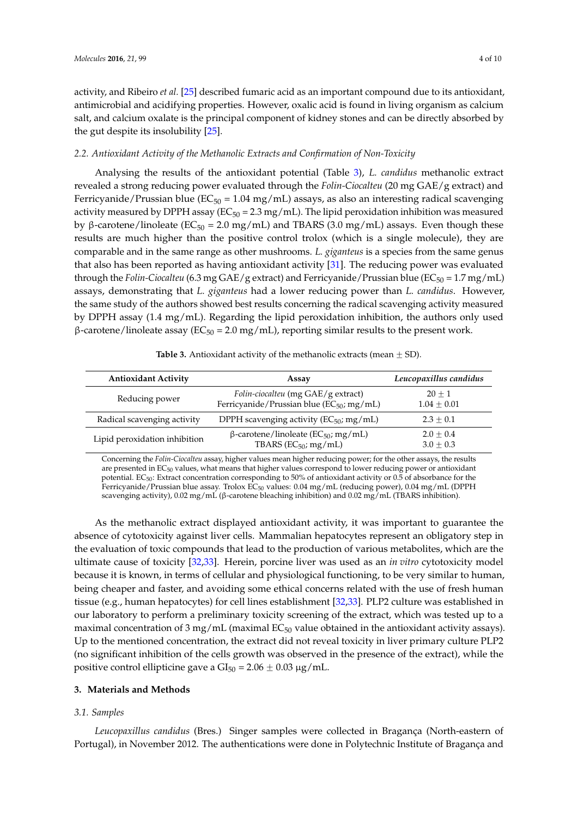activity, and Ribeiro *et al.* [\[25\]](#page-8-13) described fumaric acid as an important compound due to its antioxidant, antimicrobial and acidifying properties. However, oxalic acid is found in living organism as calcium salt, and calcium oxalate is the principal component of kidney stones and can be directly absorbed by the gut despite its insolubility [\[25\]](#page-8-13).

#### *2.2. Antioxidant Activity of the Methanolic Extracts and Confirmation of Non-Toxicity*

Analysing the results of the antioxidant potential (Table [3\)](#page-3-0), *L. candidus* methanolic extract revealed a strong reducing power evaluated through the *Folin-Ciocalteu* (20 mg GAE/g extract) and Ferricyanide/Prussian blue ( $EC_{50} = 1.04$  mg/mL) assays, as also an interesting radical scavenging activity measured by DPPH assay ( $EC_{50} = 2.3$  mg/mL). The lipid peroxidation inhibition was measured by β-carotene/linoleate ( $EC_{50} = 2.0$  mg/mL) and TBARS (3.0 mg/mL) assays. Even though these results are much higher than the positive control trolox (which is a single molecule), they are comparable and in the same range as other mushrooms. *L. giganteus* is a species from the same genus that also has been reported as having antioxidant activity [\[31\]](#page-8-19). The reducing power was evaluated through the *Folin-Ciocalteu* (6.3 mg GAE/g extract) and Ferricyanide/Prussian blue (EC<sub>50</sub> = 1.7 mg/mL) assays, demonstrating that *L. giganteus* had a lower reducing power than *L. candidus*. However, the same study of the authors showed best results concerning the radical scavenging activity measured by DPPH assay (1.4 mg/mL). Regarding the lipid peroxidation inhibition, the authors only used  $β$ -carotene/linoleate assay ( $EC_{50} = 2.0$  mg/mL), reporting similar results to the present work.

<span id="page-3-0"></span>

| <b>Antioxidant Activity</b>   | Assay                                                                                       | Leucopaxillus candidus     |
|-------------------------------|---------------------------------------------------------------------------------------------|----------------------------|
| Reducing power                | Folin-ciocalteu (mg GAE/g extract)<br>Ferricyanide/Prussian blue (EC <sub>50</sub> ; mg/mL) | $20 + 1$<br>$1.04 + 0.01$  |
| Radical scavenging activity   | DPPH scavenging activity ( $EC_{50}$ ; mg/mL)                                               | $2.3 + 0.1$                |
| Lipid peroxidation inhibition | $β$ -carotene/linoleate (EC <sub>50</sub> ; mg/mL)<br>TBARS ( $EC_{50}$ ; mg/mL)            | $2.0 + 0.4$<br>$3.0 + 0.3$ |

**Table 3.** Antioxidant activity of the methanolic extracts (mean  $\pm$  SD).

Concerning the *Folin-Ciocalteu* assay, higher values mean higher reducing power; for the other assays, the results are presented in EC<sub>50</sub> values, what means that higher values correspond to lower reducing power or antioxidant potential. EC50: Extract concentration corresponding to 50% of antioxidant activity or 0.5 of absorbance for the Ferricyanide/Prussian blue assay. Trolox EC<sub>50</sub> values: 0.04 mg/mL (reducing power), 0.04 mg/mL (DPPH scavenging activity), 0.02 mg/mL (β-carotene bleaching inhibition) and 0.02 mg/mL (TBARS inhibition).

As the methanolic extract displayed antioxidant activity, it was important to guarantee the absence of cytotoxicity against liver cells. Mammalian hepatocytes represent an obligatory step in the evaluation of toxic compounds that lead to the production of various metabolites, which are the ultimate cause of toxicity [\[32,](#page-8-20)[33\]](#page-8-21). Herein, porcine liver was used as an *in vitro* cytotoxicity model because it is known, in terms of cellular and physiological functioning, to be very similar to human, being cheaper and faster, and avoiding some ethical concerns related with the use of fresh human tissue (e.g., human hepatocytes) for cell lines establishment [\[32](#page-8-20)[,33\]](#page-8-21). PLP2 culture was established in our laboratory to perform a preliminary toxicity screening of the extract, which was tested up to a maximal concentration of 3 mg/mL (maximal  $EC_{50}$  value obtained in the antioxidant activity assays). Up to the mentioned concentration, the extract did not reveal toxicity in liver primary culture PLP2 (no significant inhibition of the cells growth was observed in the presence of the extract), while the positive control ellipticine gave a  $GI_{50} = 2.06 \pm 0.03 \,\mu g/mL$ .

#### **3. Materials and Methods**

#### *3.1. Samples*

*Leucopaxillus candidus* (Bres.) Singer samples were collected in Bragança (North-eastern of Portugal), in November 2012. The authentications were done in Polytechnic Institute of Bragança and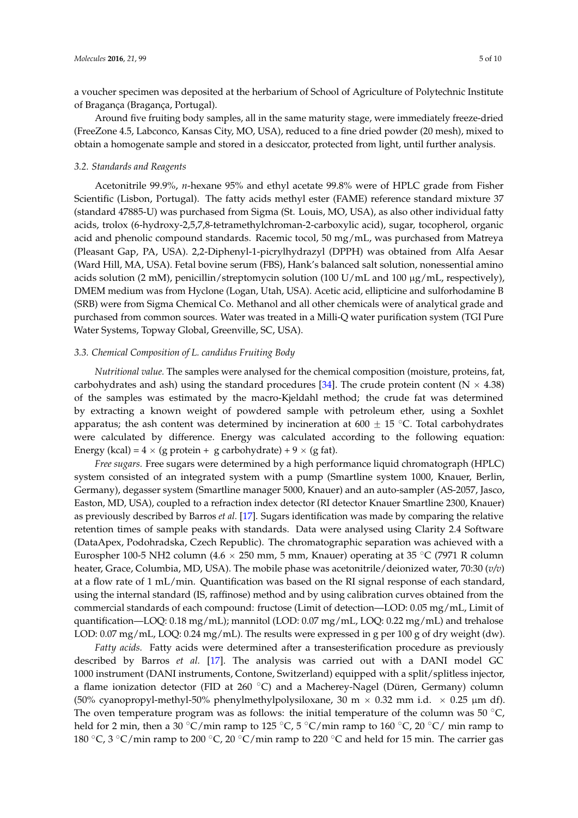a voucher specimen was deposited at the herbarium of School of Agriculture of Polytechnic Institute of Bragança (Bragança, Portugal).

Around five fruiting body samples, all in the same maturity stage, were immediately freeze-dried (FreeZone 4.5, Labconco, Kansas City, MO, USA), reduced to a fine dried powder (20 mesh), mixed to obtain a homogenate sample and stored in a desiccator, protected from light, until further analysis.

#### *3.2. Standards and Reagents*

Acetonitrile 99.9%, *n*-hexane 95% and ethyl acetate 99.8% were of HPLC grade from Fisher Scientific (Lisbon, Portugal). The fatty acids methyl ester (FAME) reference standard mixture 37 (standard 47885-U) was purchased from Sigma (St. Louis, MO, USA), as also other individual fatty acids, trolox (6-hydroxy-2,5,7,8-tetramethylchroman-2-carboxylic acid), sugar, tocopherol, organic acid and phenolic compound standards. Racemic tocol, 50 mg/mL, was purchased from Matreya (Pleasant Gap, PA, USA). 2,2-Diphenyl-1-picrylhydrazyl (DPPH) was obtained from Alfa Aesar (Ward Hill, MA, USA). Fetal bovine serum (FBS), Hank's balanced salt solution, nonessential amino acids solution (2 mM), penicillin/streptomycin solution (100 U/mL and 100 µg/mL, respectively), DMEM medium was from Hyclone (Logan, Utah, USA). Acetic acid, ellipticine and sulforhodamine B (SRB) were from Sigma Chemical Co. Methanol and all other chemicals were of analytical grade and purchased from common sources. Water was treated in a Milli-Q water purification system (TGI Pure Water Systems, Topway Global, Greenville, SC, USA).

#### *3.3. Chemical Composition of L. candidus Fruiting Body*

*Nutritional value.* The samples were analysed for the chemical composition (moisture, proteins, fat, carbohydrates and ash) using the standard procedures [\[34\]](#page-9-0). The crude protein content ( $N \times 4.38$ ) of the samples was estimated by the macro-Kjeldahl method; the crude fat was determined by extracting a known weight of powdered sample with petroleum ether, using a Soxhlet apparatus; the ash content was determined by incineration at  $600 \pm 15$  °C. Total carbohydrates were calculated by difference. Energy was calculated according to the following equation: Energy (kcal) =  $4 \times$  (g protein + g carbohydrate) +  $9 \times$  (g fat).

*Free sugars.* Free sugars were determined by a high performance liquid chromatograph (HPLC) system consisted of an integrated system with a pump (Smartline system 1000, Knauer, Berlin, Germany), degasser system (Smartline manager 5000, Knauer) and an auto-sampler (AS-2057, Jasco, Easton, MD, USA), coupled to a refraction index detector (RI detector Knauer Smartline 2300, Knauer) as previously described by Barros *et al.* [\[17\]](#page-8-5). Sugars identification was made by comparing the relative retention times of sample peaks with standards. Data were analysed using Clarity 2.4 Software (DataApex, Podohradska, Czech Republic). The chromatographic separation was achieved with a Eurospher 100-5 NH2 column (4.6  $\times$  250 mm, 5 mm, Knauer) operating at 35 °C (7971 R column heater, Grace, Columbia, MD, USA). The mobile phase was acetonitrile/deionized water, 70:30 (*v/v*) at a flow rate of 1 mL/min. Quantification was based on the RI signal response of each standard, using the internal standard (IS, raffinose) method and by using calibration curves obtained from the commercial standards of each compound: fructose (Limit of detection—LOD: 0.05 mg/mL, Limit of quantification—LOQ: 0.18 mg/mL); mannitol (LOD: 0.07 mg/mL, LOQ: 0.22 mg/mL) and trehalose LOD: 0.07 mg/mL, LOQ: 0.24 mg/mL). The results were expressed in g per 100 g of dry weight (dw).

*Fatty acids.* Fatty acids were determined after a transesterification procedure as previously described by Barros *et al.* [\[17\]](#page-8-5). The analysis was carried out with a DANI model GC 1000 instrument (DANI instruments, Contone, Switzerland) equipped with a split/splitless injector, a flame ionization detector (FID at 260  $^{\circ}$ C) and a Macherey-Nagel (Düren, Germany) column (50% cyanopropyl-methyl-50% phenylmethylpolysiloxane, 30 m  $\times$  0.32 mm i.d.  $\times$  0.25 µm df). The oven temperature program was as follows: the initial temperature of the column was 50  $^{\circ}$ C, held for 2 min, then a 30 °C/min ramp to 125 °C, 5 °C/min ramp to 160 °C, 20 °C/ min ramp to 180 °C, 3 °C/min ramp to 200 °C, 20 °C/min ramp to 220 °C and held for 15 min. The carrier gas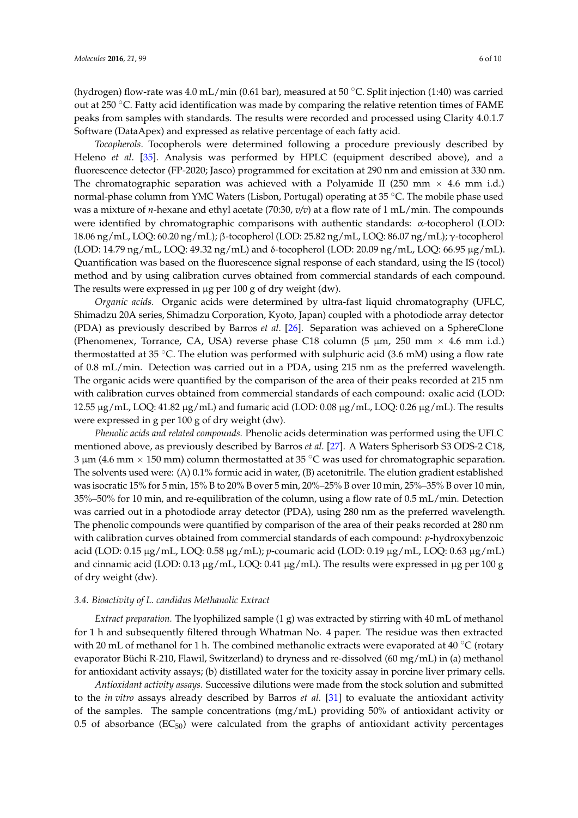(hydrogen) flow-rate was 4.0 mL/min (0.61 bar), measured at 50  $^{\circ}$ C. Split injection (1:40) was carried out at 250  $\degree$ C. Fatty acid identification was made by comparing the relative retention times of FAME peaks from samples with standards. The results were recorded and processed using Clarity 4.0.1.7 Software (DataApex) and expressed as relative percentage of each fatty acid.

*Tocopherols.* Tocopherols were determined following a procedure previously described by Heleno *et al.* [\[35\]](#page-9-1). Analysis was performed by HPLC (equipment described above), and a fluorescence detector (FP-2020; Jasco) programmed for excitation at 290 nm and emission at 330 nm. The chromatographic separation was achieved with a Polyamide II (250 mm  $\times$  4.6 mm i.d.) normal-phase column from YMC Waters (Lisbon, Portugal) operating at 35 °C. The mobile phase used was a mixture of *n*-hexane and ethyl acetate (70:30,  $v/v$ ) at a flow rate of 1 mL/min. The compounds were identified by chromatographic comparisons with authentic standards: α-tocopherol (LOD: 18.06 ng/mL, LOQ: 60.20 ng/mL); β-tocopherol (LOD: 25.82 ng/mL, LOQ: 86.07 ng/mL); γ-tocopherol (LOD: 14.79 ng/mL, LOQ: 49.32 ng/mL) and δ-tocopherol (LOD: 20.09 ng/mL, LOQ: 66.95 µg/mL). Quantification was based on the fluorescence signal response of each standard, using the IS (tocol) method and by using calibration curves obtained from commercial standards of each compound. The results were expressed in  $\mu$ g per 100 g of dry weight (dw).

*Organic acids.* Organic acids were determined by ultra-fast liquid chromatography (UFLC, Shimadzu 20A series, Shimadzu Corporation, Kyoto, Japan) coupled with a photodiode array detector (PDA) as previously described by Barros *et al.* [\[26\]](#page-8-14). Separation was achieved on a SphereClone (Phenomenex, Torrance, CA, USA) reverse phase C18 column (5  $\mu$ m, 250 mm  $\times$  4.6 mm i.d.) thermostatted at 35 °C. The elution was performed with sulphuric acid (3.6 mM) using a flow rate of 0.8 mL/min. Detection was carried out in a PDA, using 215 nm as the preferred wavelength. The organic acids were quantified by the comparison of the area of their peaks recorded at 215 nm with calibration curves obtained from commercial standards of each compound: oxalic acid (LOD: 12.55  $\mu$ g/mL, LOQ: 41.82  $\mu$ g/mL) and fumaric acid (LOD: 0.08  $\mu$ g/mL, LOQ: 0.26  $\mu$ g/mL). The results were expressed in g per 100 g of dry weight (dw).

*Phenolic acids and related compounds.* Phenolic acids determination was performed using the UFLC mentioned above, as previously described by Barros *et al.* [\[27\]](#page-8-15). A Waters Spherisorb S3 ODS-2 C18, 3  $\mu$ m (4.6 mm  $\times$  150 mm) column thermostatted at 35 °C was used for chromatographic separation. The solvents used were: (A) 0.1% formic acid in water, (B) acetonitrile. The elution gradient established was isocratic 15% for 5 min, 15% B to 20% B over 5 min, 20%–25% B over 10 min, 25%–35% B over 10 min, 35%–50% for 10 min, and re-equilibration of the column, using a flow rate of 0.5 mL/min. Detection was carried out in a photodiode array detector (PDA), using 280 nm as the preferred wavelength. The phenolic compounds were quantified by comparison of the area of their peaks recorded at 280 nm with calibration curves obtained from commercial standards of each compound: *p*-hydroxybenzoic acid (LOD: 0.15 µg/mL, LOQ: 0.58 µg/mL); *p*-coumaric acid (LOD: 0.19 µg/mL, LOQ: 0.63 µg/mL) and cinnamic acid (LOD:  $0.13 \mu g/mL$ , LOQ:  $0.41 \mu g/mL$ ). The results were expressed in  $\mu g$  per 100 g of dry weight (dw).

#### *3.4. Bioactivity of L. candidus Methanolic Extract*

*Extract preparation.* The lyophilized sample (1 g) was extracted by stirring with 40 mL of methanol for 1 h and subsequently filtered through Whatman No. 4 paper. The residue was then extracted with 20 mL of methanol for 1 h. The combined methanolic extracts were evaporated at  $40\degree C$  (rotary evaporator Büchi R-210, Flawil, Switzerland) to dryness and re-dissolved (60 mg/mL) in (a) methanol for antioxidant activity assays; (b) distillated water for the toxicity assay in porcine liver primary cells.

*Antioxidant activity assays.* Successive dilutions were made from the stock solution and submitted to the *in vitro* assays already described by Barros *et al.* [\[31\]](#page-8-19) to evaluate the antioxidant activity of the samples. The sample concentrations (mg/mL) providing 50% of antioxidant activity or 0.5 of absorbance  $(EC_{50})$  were calculated from the graphs of antioxidant activity percentages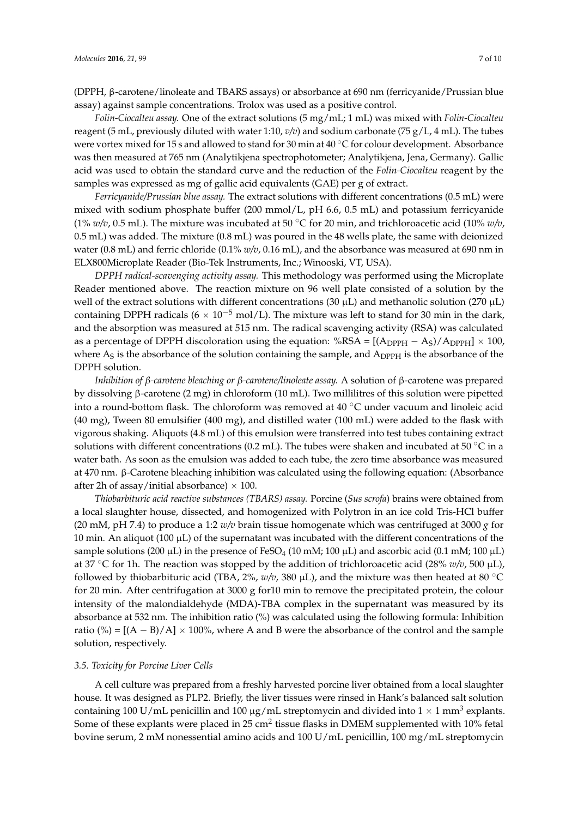(DPPH, β-carotene/linoleate and TBARS assays) or absorbance at 690 nm (ferricyanide/Prussian blue assay) against sample concentrations. Trolox was used as a positive control.

*Folin-Ciocalteu assay.* One of the extract solutions (5 mg/mL; 1 mL) was mixed with *Folin-Ciocalteu* reagent (5 mL, previously diluted with water 1:10, *v/v*) and sodium carbonate (75 g/L, 4 mL). The tubes were vortex mixed for 15 s and allowed to stand for 30 min at  $40\degree C$  for colour development. Absorbance was then measured at 765 nm (Analytikjena spectrophotometer; Analytikjena, Jena, Germany). Gallic acid was used to obtain the standard curve and the reduction of the *Folin-Ciocalteu* reagent by the samples was expressed as mg of gallic acid equivalents (GAE) per g of extract.

*Ferricyanide/Prussian blue assay.* The extract solutions with different concentrations (0.5 mL) were mixed with sodium phosphate buffer (200 mmol/L, pH 6.6, 0.5 mL) and potassium ferricyanide (1%  $w/v$ , 0.5 mL). The mixture was incubated at 50 °C for 20 min, and trichloroacetic acid (10%  $w/v$ , 0.5 mL) was added. The mixture (0.8 mL) was poured in the 48 wells plate, the same with deionized water (0.8 mL) and ferric chloride (0.1% *w/v*, 0.16 mL), and the absorbance was measured at 690 nm in ELX800Microplate Reader (Bio-Tek Instruments, Inc.; Winooski, VT, USA).

*DPPH radical-scavenging activity assay.* This methodology was performed using the Microplate Reader mentioned above. The reaction mixture on 96 well plate consisted of a solution by the well of the extract solutions with different concentrations (30  $\mu$ L) and methanolic solution (270  $\mu$ L) containing DPPH radicals ( $6 \times 10^{-5}$  mol/L). The mixture was left to stand for 30 min in the dark, and the absorption was measured at 515 nm. The radical scavenging activity (RSA) was calculated as a percentage of DPPH discoloration using the equation:  $%$ RSA = [(A<sub>DPPH</sub>  $-$  A<sub>S</sub>)/A<sub>DPPH</sub>]  $\times$  100, where  $A_S$  is the absorbance of the solution containing the sample, and  $A_{DPPH}$  is the absorbance of the DPPH solution.

*Inhibition of β-carotene bleaching or β-carotene/linoleate assay.* A solution of β-carotene was prepared by dissolving β-carotene (2 mg) in chloroform (10 mL). Two millilitres of this solution were pipetted into a round-bottom flask. The chloroform was removed at  $40\degree C$  under vacuum and linoleic acid (40 mg), Tween 80 emulsifier (400 mg), and distilled water (100 mL) were added to the flask with vigorous shaking. Aliquots (4.8 mL) of this emulsion were transferred into test tubes containing extract solutions with different concentrations (0.2 mL). The tubes were shaken and incubated at 50  $\degree$ C in a water bath. As soon as the emulsion was added to each tube, the zero time absorbance was measured at 470 nm. β-Carotene bleaching inhibition was calculated using the following equation: (Absorbance after 2h of assay/initial absorbance)  $\times$  100.

*Thiobarbituric acid reactive substances (TBARS) assay.* Porcine (*Sus scrofa*) brains were obtained from a local slaughter house, dissected, and homogenized with Polytron in an ice cold Tris-HCl buffer (20 mM, pH 7.4) to produce a 1:2  $w/v$  brain tissue homogenate which was centrifuged at 3000  $g$  for 10 min. An aliquot (100  $\mu$ L) of the supernatant was incubated with the different concentrations of the sample solutions (200  $\mu$ L) in the presence of FeSO<sub>4</sub> (10 mM; 100  $\mu$ L) and ascorbic acid (0.1 mM; 100  $\mu$ L) at 37 °C for 1h. The reaction was stopped by the addition of trichloroacetic acid (28%  $w/v$ , 500  $\mu$ L), followed by thiobarbituric acid (TBA,  $2\%$ ,  $w/v$ , 380  $\mu$ L), and the mixture was then heated at 80 °C for 20 min. After centrifugation at 3000 g for10 min to remove the precipitated protein, the colour intensity of the malondialdehyde (MDA)-TBA complex in the supernatant was measured by its absorbance at 532 nm. The inhibition ratio (%) was calculated using the following formula: Inhibition ratio (%) =  $[(A – B)/A] \times 100\%$ , where A and B were the absorbance of the control and the sample solution, respectively.

#### *3.5. Toxicity for Porcine Liver Cells*

A cell culture was prepared from a freshly harvested porcine liver obtained from a local slaughter house. It was designed as PLP2. Briefly, the liver tissues were rinsed in Hank's balanced salt solution containing 100 U/mL penicillin and 100 µg/mL streptomycin and divided into 1  $\times$  1 mm $^3$  explants. Some of these explants were placed in 25 cm<sup>2</sup> tissue flasks in DMEM supplemented with 10% fetal bovine serum, 2 mM nonessential amino acids and 100 U/mL penicillin, 100 mg/mL streptomycin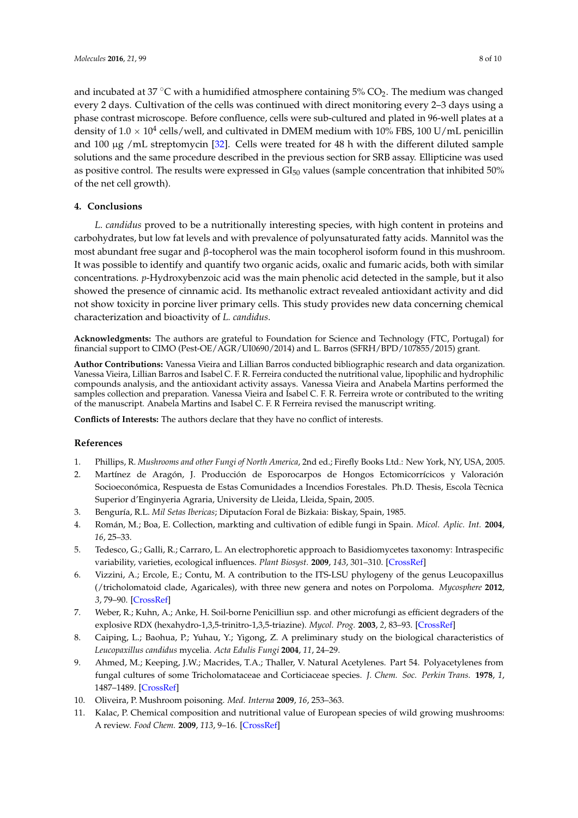and incubated at 37 °C with a humidified atmosphere containing 5%  $CO<sub>2</sub>$ . The medium was changed every 2 days. Cultivation of the cells was continued with direct monitoring every 2–3 days using a phase contrast microscope. Before confluence, cells were sub-cultured and plated in 96-well plates at a density of  $1.0 \times 10^4$  cells/well, and cultivated in DMEM medium with 10% FBS, 100 U/mL penicillin and  $100 \mu g$  /mL streptomycin [\[32\]](#page-8-20). Cells were treated for 48 h with the different diluted sample solutions and the same procedure described in the previous section for SRB assay. Ellipticine was used as positive control. The results were expressed in  $GI_{50}$  values (sample concentration that inhibited 50%) of the net cell growth).

## **4. Conclusions**

*L. candidus* proved to be a nutritionally interesting species, with high content in proteins and carbohydrates, but low fat levels and with prevalence of polyunsaturated fatty acids. Mannitol was the most abundant free sugar and β-tocopherol was the main tocopherol isoform found in this mushroom. It was possible to identify and quantify two organic acids, oxalic and fumaric acids, both with similar concentrations. *p*-Hydroxybenzoic acid was the main phenolic acid detected in the sample, but it also showed the presence of cinnamic acid. Its methanolic extract revealed antioxidant activity and did not show toxicity in porcine liver primary cells. This study provides new data concerning chemical characterization and bioactivity of *L. candidus*.

**Acknowledgments:** The authors are grateful to Foundation for Science and Technology (FTC, Portugal) for financial support to CIMO (Pest-OE/AGR/UI0690/2014) and L. Barros (SFRH/BPD/107855/2015) grant.

**Author Contributions:** Vanessa Vieira and Lillian Barros conducted bibliographic research and data organization. Vanessa Vieira, Lillian Barros and Isabel C. F. R. Ferreira conducted the nutritional value, lipophilic and hydrophilic compounds analysis, and the antioxidant activity assays. Vanessa Vieira and Anabela Martins performed the samples collection and preparation. Vanessa Vieira and Isabel C. F. R. Ferreira wrote or contributed to the writing of the manuscript. Anabela Martins and Isabel C. F. R Ferreira revised the manuscript writing.

**Conflicts of Interests:** The authors declare that they have no conflict of interests.

#### **References**

- <span id="page-7-0"></span>1. Phillips, R. *Mushrooms and other Fungi of North America*, 2nd ed.; Firefly Books Ltd.: New York, NY, USA, 2005.
- <span id="page-7-1"></span>2. Martínez de Aragón, J. Producción de Esporocarpos de Hongos Ectomicorrícicos y Valoración Socioeconómica, Respuesta de Estas Comunidades a Incendios Forestales. Ph.D. Thesis, Escola Tècnica Superior d'Enginyeria Agraria, University de Lleida, Lleida, Spain, 2005.
- 3. Benguría, R.L. *Mil Setas Ibericas*; Diputacíon Foral de Bizkaia: Biskay, Spain, 1985.
- <span id="page-7-2"></span>4. Román, M.; Boa, E. Collection, markting and cultivation of edible fungi in Spain. *Micol. Aplic. Int.* **2004**, *16*, 25–33.
- <span id="page-7-3"></span>5. Tedesco, G.; Galli, R.; Carraro, L. An electrophoretic approach to Basidiomycetes taxonomy: Intraspecific variability, varieties, ecological influences. *Plant Biosyst.* **2009**, *143*, 301–310. [\[CrossRef\]](http://dx.doi.org/10.1080/11263500902722592)
- <span id="page-7-4"></span>6. Vizzini, A.; Ercole, E.; Contu, M. A contribution to the ITS-LSU phylogeny of the genus Leucopaxillus (/tricholomatoid clade, Agaricales), with three new genera and notes on Porpoloma. *Mycosphere* **2012**, *3*, 79–90. [\[CrossRef\]](http://dx.doi.org/10.5943/mycosphere/3/1/10)
- <span id="page-7-5"></span>7. Weber, R.; Kuhn, A.; Anke, H. Soil-borne Penicilliun ssp. and other microfungi as efficient degraders of the explosive RDX (hexahydro-1,3,5-trinitro-1,3,5-triazine). *Mycol. Prog.* **2003**, *2*, 83–93. [\[CrossRef\]](http://dx.doi.org/10.1007/s11557-006-0047-2)
- <span id="page-7-6"></span>8. Caiping, L.; Baohua, P.; Yuhau, Y.; Yigong, Z. A preliminary study on the biological characteristics of *Leucopaxillus candidus* mycelia. *Acta Edulis Fungi* **2004**, *11*, 24–29.
- <span id="page-7-7"></span>9. Ahmed, M.; Keeping, J.W.; Macrides, T.A.; Thaller, V. Natural Acetylenes. Part 54. Polyacetylenes from fungal cultures of some Tricholomataceae and Corticiaceae species. *J. Chem. Soc. Perkin Trans.* **1978**, *1*, 1487–1489. [\[CrossRef\]](http://dx.doi.org/10.1039/p19780001487)
- <span id="page-7-8"></span>10. Oliveira, P. Mushroom poisoning. *Med. Interna* **2009**, *16*, 253–363.
- <span id="page-7-9"></span>11. Kalac, P. Chemical composition and nutritional value of European species of wild growing mushrooms: A review. *Food Chem.* **2009**, *113*, 9–16. [\[CrossRef\]](http://dx.doi.org/10.1016/j.foodchem.2008.07.077)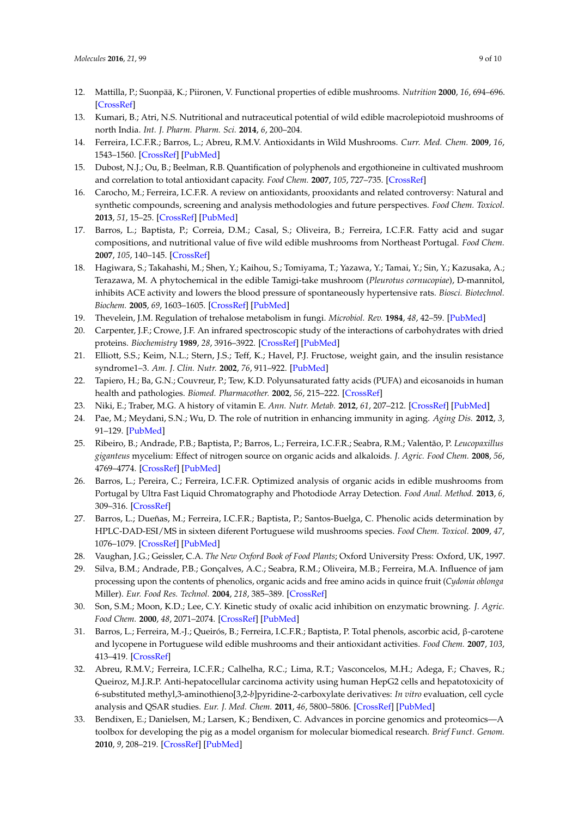- <span id="page-8-0"></span>12. Mattilla, P.; Suonpää, K.; Piironen, V. Functional properties of edible mushrooms. *Nutrition* **2000**, *16*, 694–696. [\[CrossRef\]](http://dx.doi.org/10.1016/S0899-9007(00)00341-5)
- <span id="page-8-1"></span>13. Kumari, B.; Atri, N.S. Nutritional and nutraceutical potential of wild edible macrolepiotoid mushrooms of north India. *Int. J. Pharm. Pharm. Sci.* **2014**, *6*, 200–204.
- <span id="page-8-2"></span>14. Ferreira, I.C.F.R.; Barros, L.; Abreu, R.M.V. Antioxidants in Wild Mushrooms. *Curr. Med. Chem.* **2009**, *16*, 1543–1560. [\[CrossRef\]](http://dx.doi.org/10.2174/092986709787909587) [\[PubMed\]](http://www.ncbi.nlm.nih.gov/pubmed/19355906)
- <span id="page-8-3"></span>15. Dubost, N.J.; Ou, B.; Beelman, R.B. Quantification of polyphenols and ergothioneine in cultivated mushroom and correlation to total antioxidant capacity. *Food Chem.* **2007**, *105*, 727–735. [\[CrossRef\]](http://dx.doi.org/10.1016/j.foodchem.2007.01.030)
- <span id="page-8-4"></span>16. Carocho, M.; Ferreira, I.C.F.R. A review on antioxidants, prooxidants and related controversy: Natural and synthetic compounds, screening and analysis methodologies and future perspectives. *Food Chem. Toxicol.* **2013**, *51*, 15–25. [\[CrossRef\]](http://dx.doi.org/10.1016/j.fct.2012.09.021) [\[PubMed\]](http://www.ncbi.nlm.nih.gov/pubmed/23017782)
- <span id="page-8-5"></span>17. Barros, L.; Baptista, P.; Correia, D.M.; Casal, S.; Oliveira, B.; Ferreira, I.C.F.R. Fatty acid and sugar compositions, and nutritional value of five wild edible mushrooms from Northeast Portugal. *Food Chem.* **2007**, *105*, 140–145. [\[CrossRef\]](http://dx.doi.org/10.1016/j.foodchem.2007.03.052)
- <span id="page-8-6"></span>18. Hagiwara, S.; Takahashi, M.; Shen, Y.; Kaihou, S.; Tomiyama, T.; Yazawa, Y.; Tamai, Y.; Sin, Y.; Kazusaka, A.; Terazawa, M. A phytochemical in the edible Tamigi-take mushroom (*Pleurotus cornucopiae*), D-mannitol, inhibits ACE activity and lowers the blood pressure of spontaneously hypertensive rats. *Biosci. Biotechnol. Biochem.* **2005**, *69*, 1603–1605. [\[CrossRef\]](http://dx.doi.org/10.1271/bbb.69.1603) [\[PubMed\]](http://www.ncbi.nlm.nih.gov/pubmed/16116292)
- <span id="page-8-8"></span><span id="page-8-7"></span>19. Thevelein, J.M. Regulation of trehalose metabolism in fungi. *Microbiol. Rev.* **1984**, *48*, 42–59. [\[PubMed\]](http://www.ncbi.nlm.nih.gov/pubmed/6325857)
- 20. Carpenter, J.F.; Crowe, J.F. An infrared spectroscopic study of the interactions of carbohydrates with dried proteins. *Biochemistry* **1989**, *28*, 3916–3922. [\[CrossRef\]](http://dx.doi.org/10.1021/bi00435a044) [\[PubMed\]](http://www.ncbi.nlm.nih.gov/pubmed/2526652)
- <span id="page-8-9"></span>21. Elliott, S.S.; Keim, N.L.; Stern, J.S.; Teff, K.; Havel, P.J. Fructose, weight gain, and the insulin resistance syndrome1–3. *Am. J. Clin. Nutr.* **2002**, *76*, 911–922. [\[PubMed\]](http://www.ncbi.nlm.nih.gov/pubmed/12399260)
- <span id="page-8-10"></span>22. Tapiero, H.; Ba, G.N.; Couvreur, P.; Tew, K.D. Polyunsaturated fatty acids (PUFA) and eicosanoids in human health and pathologies. *Biomed. Pharmacother.* **2002**, *56*, 215–222. [\[CrossRef\]](http://dx.doi.org/10.1016/S0753-3322(02)00193-2)
- <span id="page-8-11"></span>23. Niki, E.; Traber, M.G. A history of vitamin E. *Ann. Nutr. Metab.* **2012**, *61*, 207–212. [\[CrossRef\]](http://dx.doi.org/10.1159/000343106) [\[PubMed\]](http://www.ncbi.nlm.nih.gov/pubmed/23183290)
- <span id="page-8-12"></span>24. Pae, M.; Meydani, S.N.; Wu, D. The role of nutrition in enhancing immunity in aging. *Aging Dis.* **2012**, *3*, 91–129. [\[PubMed\]](http://www.ncbi.nlm.nih.gov/pubmed/22500273)
- <span id="page-8-13"></span>25. Ribeiro, B.; Andrade, P.B.; Baptista, P.; Barros, L.; Ferreira, I.C.F.R.; Seabra, R.M.; Valentão, P. *Leucopaxillus giganteus* mycelium: Effect of nitrogen source on organic acids and alkaloids. *J. Agric. Food Chem.* **2008**, *56*, 4769–4774. [\[CrossRef\]](http://dx.doi.org/10.1021/jf8001526) [\[PubMed\]](http://www.ncbi.nlm.nih.gov/pubmed/18494481)
- <span id="page-8-14"></span>26. Barros, L.; Pereira, C.; Ferreira, I.C.F.R. Optimized analysis of organic acids in edible mushrooms from Portugal by Ultra Fast Liquid Chromatography and Photodiode Array Detection. *Food Anal. Method.* **2013**, *6*, 309–316. [\[CrossRef\]](http://dx.doi.org/10.1007/s12161-012-9443-1)
- <span id="page-8-15"></span>27. Barros, L.; Dueñas, M.; Ferreira, I.C.F.R.; Baptista, P.; Santos-Buelga, C. Phenolic acids determination by HPLC-DAD-ESI/MS in sixteen diferent Portuguese wild mushrooms species. *Food Chem. Toxicol.* **2009**, *47*, 1076–1079. [\[CrossRef\]](http://dx.doi.org/10.1016/j.fct.2009.01.039) [\[PubMed\]](http://www.ncbi.nlm.nih.gov/pubmed/19425182)
- <span id="page-8-16"></span>28. Vaughan, J.G.; Geissler, C.A. *The New Oxford Book of Food Plants*; Oxford University Press: Oxford, UK, 1997.
- <span id="page-8-17"></span>29. Silva, B.M.; Andrade, P.B.; Gonçalves, A.C.; Seabra, R.M.; Oliveira, M.B.; Ferreira, M.A. Influence of jam processing upon the contents of phenolics, organic acids and free amino acids in quince fruit (*Cydonia oblonga* Miller). *Eur. Food Res. Technol.* **2004**, *218*, 385–389. [\[CrossRef\]](http://dx.doi.org/10.1007/s00217-003-0845-6)
- <span id="page-8-18"></span>30. Son, S.M.; Moon, K.D.; Lee, C.Y. Kinetic study of oxalic acid inhibition on enzymatic browning. *J. Agric. Food Chem.* **2000**, *48*, 2071–2074. [\[CrossRef\]](http://dx.doi.org/10.1021/jf991397x) [\[PubMed\]](http://www.ncbi.nlm.nih.gov/pubmed/10888500)
- <span id="page-8-19"></span>31. Barros, L.; Ferreira, M.-J.; Queirós, B.; Ferreira, I.C.F.R.; Baptista, P. Total phenols, ascorbic acid, β-carotene and lycopene in Portuguese wild edible mushrooms and their antioxidant activities. *Food Chem.* **2007**, *103*, 413–419. [\[CrossRef\]](http://dx.doi.org/10.1016/j.foodchem.2006.07.038)
- <span id="page-8-20"></span>32. Abreu, R.M.V.; Ferreira, I.C.F.R.; Calhelha, R.C.; Lima, R.T.; Vasconcelos, M.H.; Adega, F.; Chaves, R.; Queiroz, M.J.R.P. Anti-hepatocellular carcinoma activity using human HepG2 cells and hepatotoxicity of 6-substituted methyl,3-aminothieno[3,2-*b*]pyridine-2-carboxylate derivatives: *In vitro* evaluation, cell cycle analysis and QSAR studies. *Eur. J. Med. Chem.* **2011**, *46*, 5800–5806. [\[CrossRef\]](http://dx.doi.org/10.1016/j.ejmech.2011.09.029) [\[PubMed\]](http://www.ncbi.nlm.nih.gov/pubmed/22014996)
- <span id="page-8-21"></span>33. Bendixen, E.; Danielsen, M.; Larsen, K.; Bendixen, C. Advances in porcine genomics and proteomics—A toolbox for developing the pig as a model organism for molecular biomedical research. *Brief Funct. Genom.* **2010**, *9*, 208–219. [\[CrossRef\]](http://dx.doi.org/10.1093/bfgp/elq004) [\[PubMed\]](http://www.ncbi.nlm.nih.gov/pubmed/20495211)